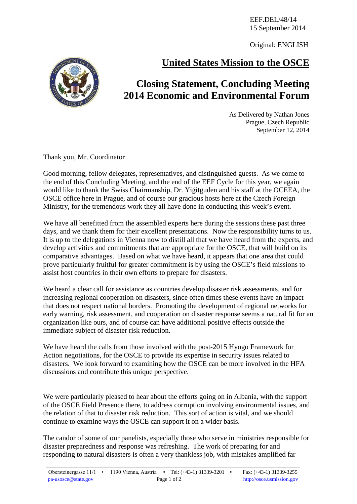EEF.DEL/48/14 15 September 2014

Original: ENGLISH

## **United States Mission to the OSCE**



As Delivered by Nathan Jones Prague, Czech Republic September 12, 2014

Thank you, Mr. Coordinator

Good morning, fellow delegates, representatives, and distinguished guests. As we come to the end of this Concluding Meeting, and the end of the EEF Cycle for this year, we again would like to thank the Swiss Chairmanship, Dr. Yiğitguden and his staff at the OCEEA, the OSCE office here in Prague, and of course our gracious hosts here at the Czech Foreign Ministry, for the tremendous work they all have done in conducting this week's event.

We have all benefitted from the assembled experts here during the sessions these past three days, and we thank them for their excellent presentations. Now the responsibility turns to us. It is up to the delegations in Vienna now to distill all that we have heard from the experts, and develop activities and commitments that are appropriate for the OSCE, that will build on its comparative advantages. Based on what we have heard, it appears that one area that could prove particularly fruitful for greater commitment is by using the OSCE's field missions to assist host countries in their own efforts to prepare for disasters.

We heard a clear call for assistance as countries develop disaster risk assessments, and for increasing regional cooperation on disasters, since often times these events have an impact that does not respect national borders. Promoting the development of regional networks for early warning, risk assessment, and cooperation on disaster response seems a natural fit for an organization like ours, and of course can have additional positive effects outside the immediate subject of disaster risk reduction.

We have heard the calls from those involved with the post-2015 Hyogo Framework for Action negotiations, for the OSCE to provide its expertise in security issues related to disasters. We look forward to examining how the OSCE can be more involved in the HFA discussions and contribute this unique perspective.

We were particularly pleased to hear about the efforts going on in Albania, with the support of the OSCE Field Presence there, to address corruption involving environmental issues, and the relation of that to disaster risk reduction. This sort of action is vital, and we should continue to examine ways the OSCE can support it on a wider basis.

The candor of some of our panelists, especially those who serve in ministries responsible for disaster preparedness and response was refreshing. The work of preparing for and responding to natural disasters is often a very thankless job, with mistakes amplified far